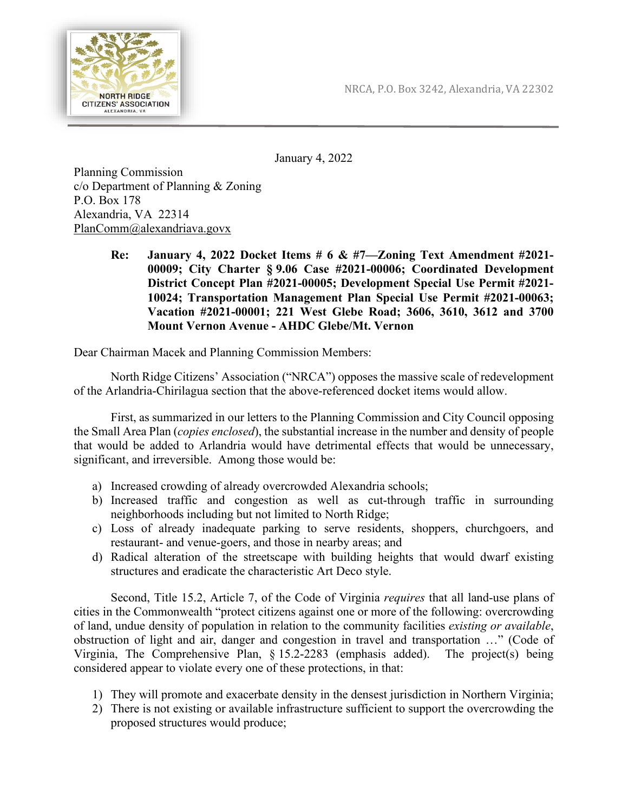

January 4, 2022

Planning Commission c/o Department of Planning & Zoning P.O. Box 178 Alexandria, VA 22314 [PlanComm@alexandriava.govx](mailto:PlanComm@alexandriava.gov)

> **Re: January 4, 2022 Docket Items # 6 & #7—Zoning Text Amendment #2021- 00009; City Charter § 9.06 Case #2021-00006; Coordinated Development District Concept Plan #2021-00005; Development Special Use Permit #2021- 10024; Transportation Management Plan Special Use Permit #2021-00063; Vacation #2021-00001; 221 West Glebe Road; 3606, 3610, 3612 and 3700 Mount Vernon Avenue - AHDC Glebe/Mt. Vernon**

Dear Chairman Macek and Planning Commission Members:

North Ridge Citizens' Association ("NRCA") opposes the massive scale of redevelopment of the Arlandria-Chirilagua section that the above-referenced docket items would allow.

First, as summarized in our letters to the Planning Commission and City Council opposing the Small Area Plan (*copies enclosed*), the substantial increase in the number and density of people that would be added to Arlandria would have detrimental effects that would be unnecessary, significant, and irreversible. Among those would be:

- a) Increased crowding of already overcrowded Alexandria schools;
- b) Increased traffic and congestion as well as cut-through traffic in surrounding neighborhoods including but not limited to North Ridge;
- c) Loss of already inadequate parking to serve residents, shoppers, churchgoers, and restaurant- and venue-goers, and those in nearby areas; and
- d) Radical alteration of the streetscape with building heights that would dwarf existing structures and eradicate the characteristic Art Deco style.

Second, Title 15.2, Article 7, of the Code of Virginia *requires* that all land-use plans of cities in the Commonwealth "protect citizens against one or more of the following: overcrowding of land, undue density of population in relation to the community facilities *existing or available*, obstruction of light and air, danger and congestion in travel and transportation …" (Code of Virginia, The Comprehensive Plan, § 15.2-2283 (emphasis added). The project(s) being considered appear to violate every one of these protections, in that:

- 1) They will promote and exacerbate density in the densest jurisdiction in Northern Virginia;
- 2) There is not existing or available infrastructure sufficient to support the overcrowding the proposed structures would produce;